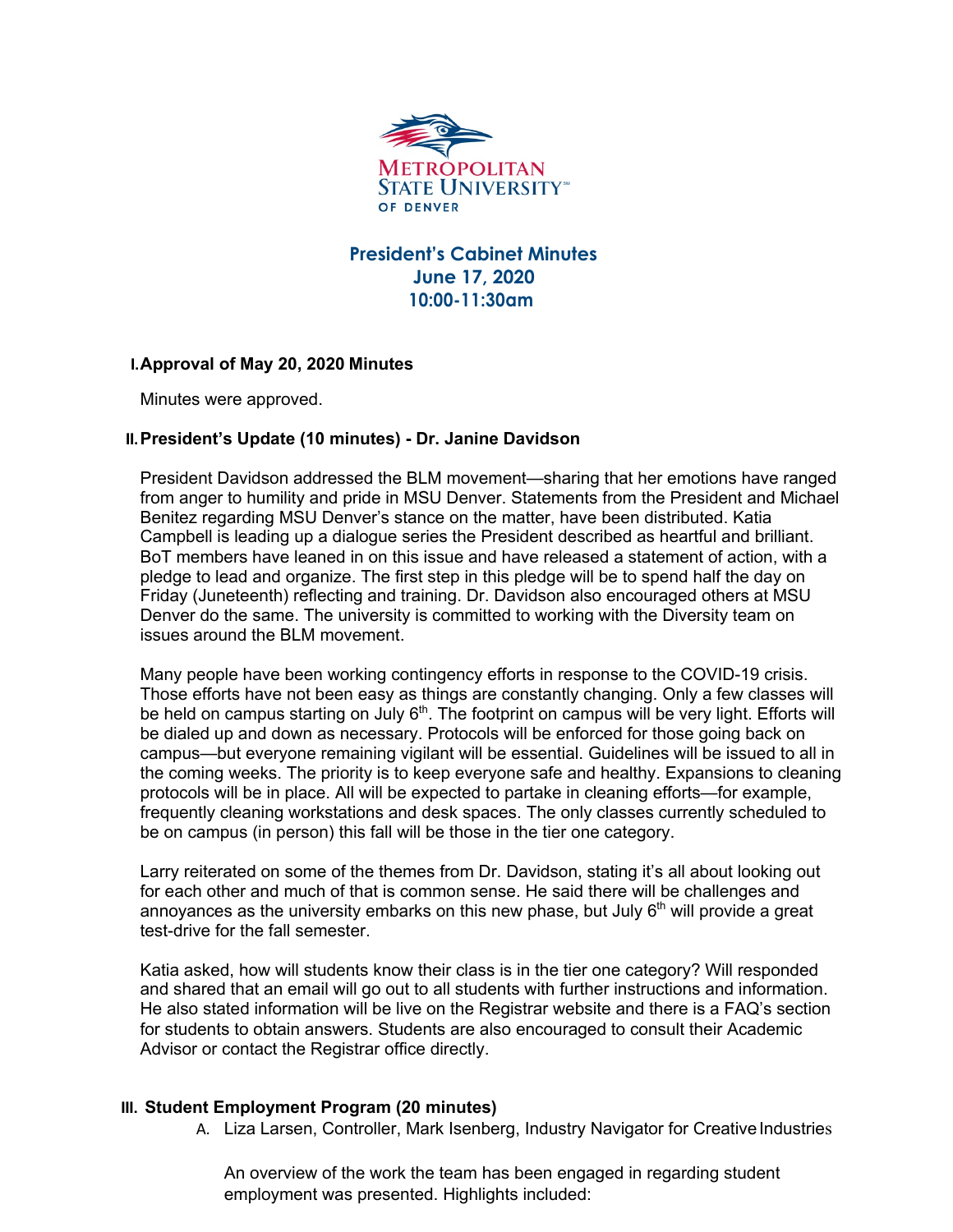

# **President's Cabinet Minutes June 17, 2020 10:00-11:30am**

## **I.Approval of May 20, 2020 Minutes**

Minutes were approved.

## **II.President's Update (10 minutes) - Dr. Janine Davidson**

President Davidson addressed the BLM movement—sharing that her emotions have ranged from anger to humility and pride in MSU Denver. Statements from the President and Michael Benitez regarding MSU Denver's stance on the matter, have been distributed. Katia Campbell is leading up a dialogue series the President described as heartful and brilliant. BoT members have leaned in on this issue and have released a statement of action, with a pledge to lead and organize. The first step in this pledge will be to spend half the day on Friday (Juneteenth) reflecting and training. Dr. Davidson also encouraged others at MSU Denver do the same. The university is committed to working with the Diversity team on issues around the BLM movement.

Many people have been working contingency efforts in response to the COVID-19 crisis. Those efforts have not been easy as things are constantly changing. Only a few classes will be held on campus starting on July  $6<sup>th</sup>$ . The footprint on campus will be very light. Efforts will be dialed up and down as necessary. Protocols will be enforced for those going back on campus—but everyone remaining vigilant will be essential. Guidelines will be issued to all in the coming weeks. The priority is to keep everyone safe and healthy. Expansions to cleaning protocols will be in place. All will be expected to partake in cleaning efforts—for example, frequently cleaning workstations and desk spaces. The only classes currently scheduled to be on campus (in person) this fall will be those in the tier one category.

Larry reiterated on some of the themes from Dr. Davidson, stating it's all about looking out for each other and much of that is common sense. He said there will be challenges and annovances as the university embarks on this new phase, but July  $6<sup>th</sup>$  will provide a great test-drive for the fall semester.

Katia asked, how will students know their class is in the tier one category? Will responded and shared that an email will go out to all students with further instructions and information. He also stated information will be live on the Registrar website and there is a FAQ's section for students to obtain answers. Students are also encouraged to consult their Academic Advisor or contact the Registrar office directly.

## **III. Student Employment Program (20 minutes)**

A. Liza Larsen, Controller, Mark Isenberg, Industry Navigator for Creative Industries

An overview of the work the team has been engaged in regarding student employment was presented. Highlights included: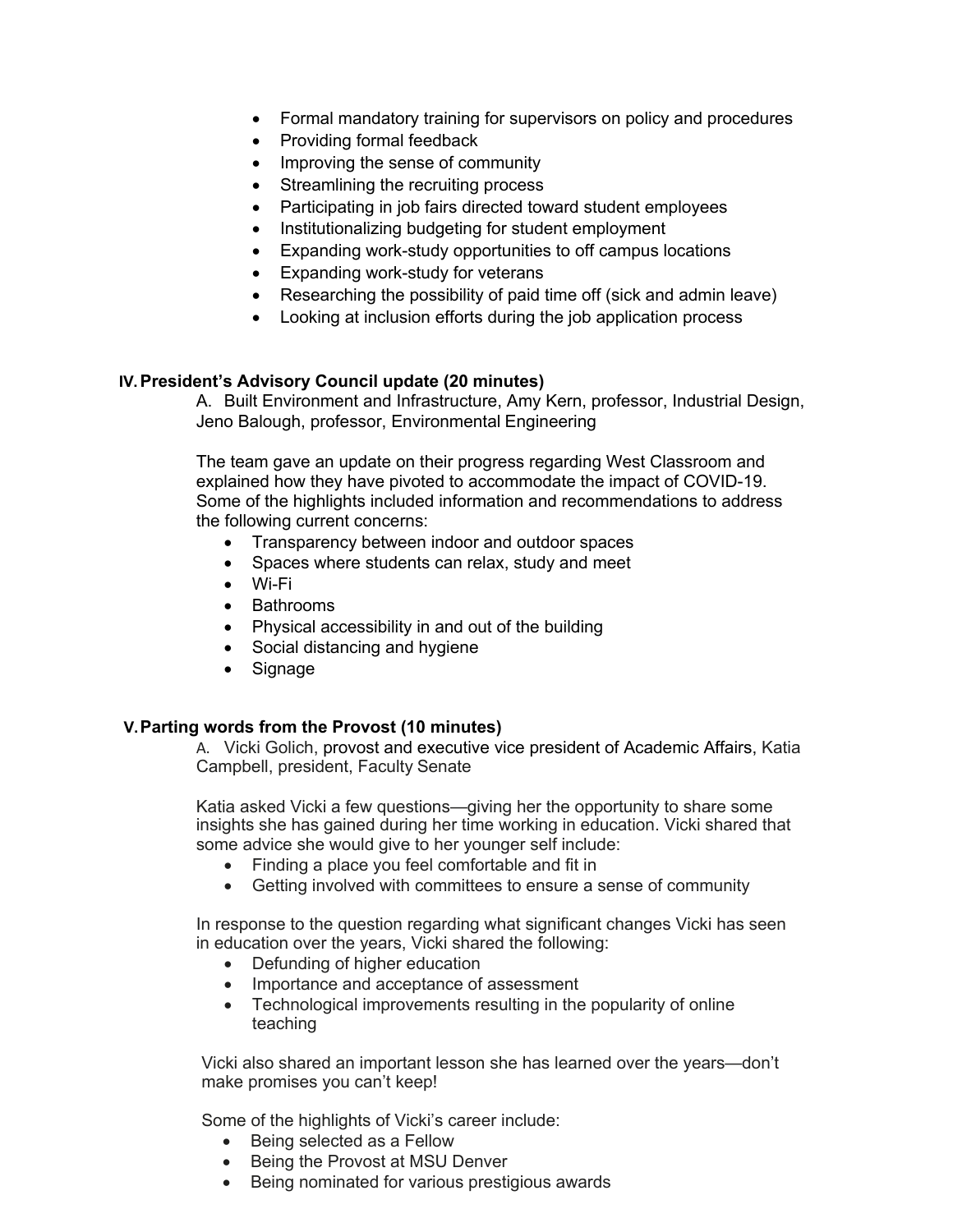- Formal mandatory training for supervisors on policy and procedures
- Providing formal feedback
- Improving the sense of community
- Streamlining the recruiting process
- Participating in job fairs directed toward student employees
- Institutionalizing budgeting for student employment
- Expanding work-study opportunities to off campus locations
- Expanding work-study for veterans
- Researching the possibility of paid time off (sick and admin leave)
- Looking at inclusion efforts during the job application process

## **IV.President's Advisory Council update (20 minutes)**

A. Built Environment and Infrastructure, Amy Kern, professor, Industrial Design, Jeno Balough, professor, Environmental Engineering

The team gave an update on their progress regarding West Classroom and explained how they have pivoted to accommodate the impact of COVID-19. Some of the highlights included information and recommendations to address the following current concerns:

- Transparency between indoor and outdoor spaces
- Spaces where students can relax, study and meet
- Wi-Fi
- Bathrooms
- Physical accessibility in and out of the building
- Social distancing and hygiene
- Signage

## **V.Parting words from the Provost (10 minutes)**

A. Vicki Golich, provost and executive vice president of Academic Affairs, Katia Campbell, president, Faculty Senate

Katia asked Vicki a few questions—giving her the opportunity to share some insights she has gained during her time working in education. Vicki shared that some advice she would give to her younger self include:

- Finding a place you feel comfortable and fit in
- Getting involved with committees to ensure a sense of community

In response to the question regarding what significant changes Vicki has seen in education over the years, Vicki shared the following:

- Defunding of higher education
- Importance and acceptance of assessment
- Technological improvements resulting in the popularity of online teaching

Vicki also shared an important lesson she has learned over the years—don't make promises you can't keep!

Some of the highlights of Vicki's career include:

- Being selected as a Fellow
- Being the Provost at MSU Denver
- Being nominated for various prestigious awards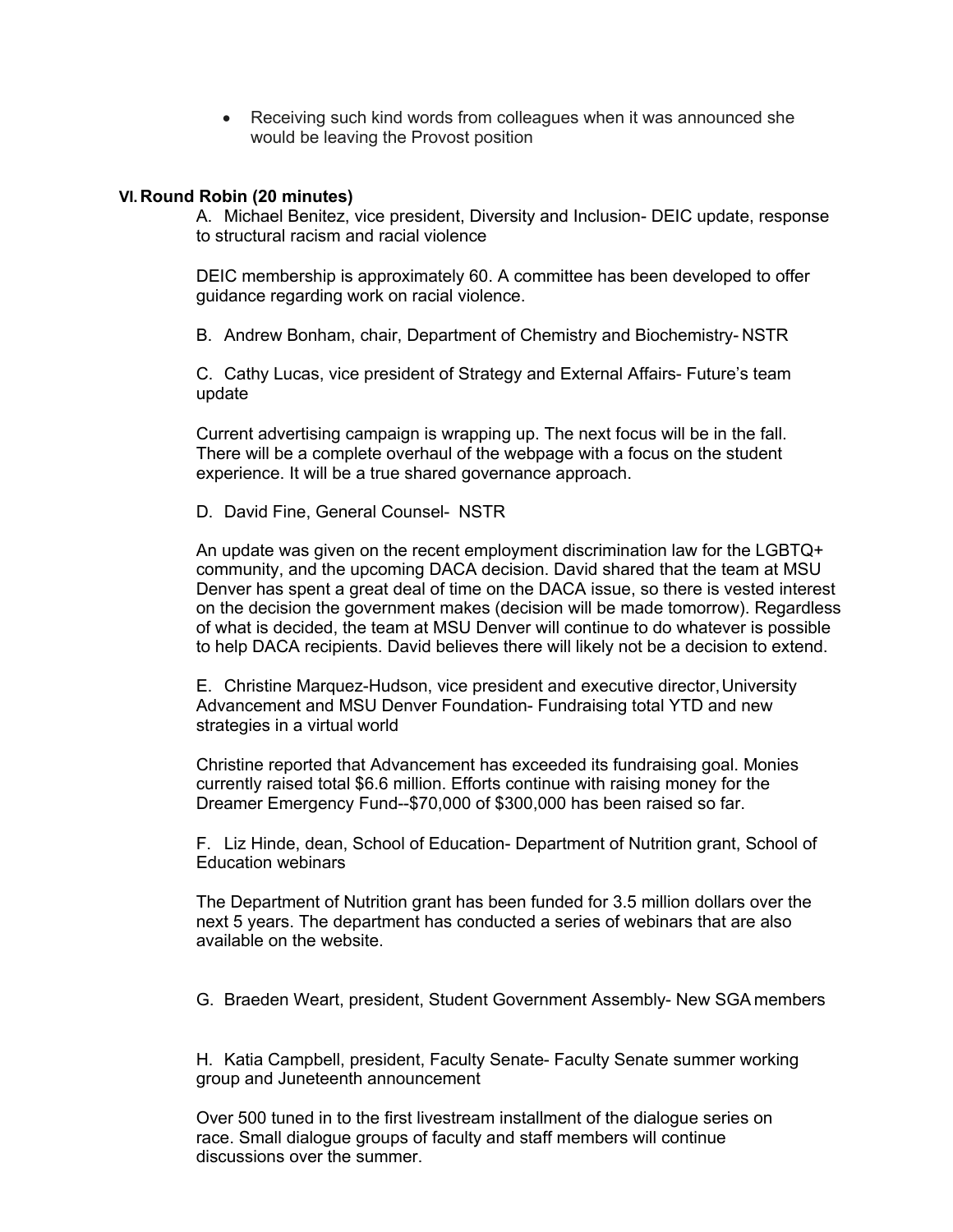• Receiving such kind words from colleagues when it was announced she would be leaving the Provost position

### **VI.Round Robin (20 minutes)**

A. Michael Benitez, vice president, Diversity and Inclusion- DEIC update, response to structural racism and racial violence

DEIC membership is approximately 60. A committee has been developed to offer guidance regarding work on racial violence.

B. Andrew Bonham, chair, Department of Chemistry and Biochemistry- NSTR

C. Cathy Lucas, vice president of Strategy and External Affairs- Future's team update

Current advertising campaign is wrapping up. The next focus will be in the fall. There will be a complete overhaul of the webpage with a focus on the student experience. It will be a true shared governance approach.

D. David Fine, General Counsel- NSTR

An update was given on the recent employment discrimination law for the LGBTQ+ community, and the upcoming DACA decision. David shared that the team at MSU Denver has spent a great deal of time on the DACA issue, so there is vested interest on the decision the government makes (decision will be made tomorrow). Regardless of what is decided, the team at MSU Denver will continue to do whatever is possible to help DACA recipients. David believes there will likely not be a decision to extend.

E. Christine Marquez-Hudson, vice president and executive director,University Advancement and MSU Denver Foundation- Fundraising total YTD and new strategies in a virtual world

Christine reported that Advancement has exceeded its fundraising goal. Monies currently raised total \$6.6 million. Efforts continue with raising money for the Dreamer Emergency Fund--\$70,000 of \$300,000 has been raised so far.

F. Liz Hinde, dean, School of Education- Department of Nutrition grant, School of Education webinars

The Department of Nutrition grant has been funded for 3.5 million dollars over the next 5 years. The department has conducted a series of webinars that are also available on the website.

G. Braeden Weart, president, Student Government Assembly- New SGA members

H. Katia Campbell, president, Faculty Senate- Faculty Senate summer working group and Juneteenth announcement

Over 500 tuned in to the first livestream installment of the dialogue series on race. Small dialogue groups of faculty and staff members will continue discussions over the summer.